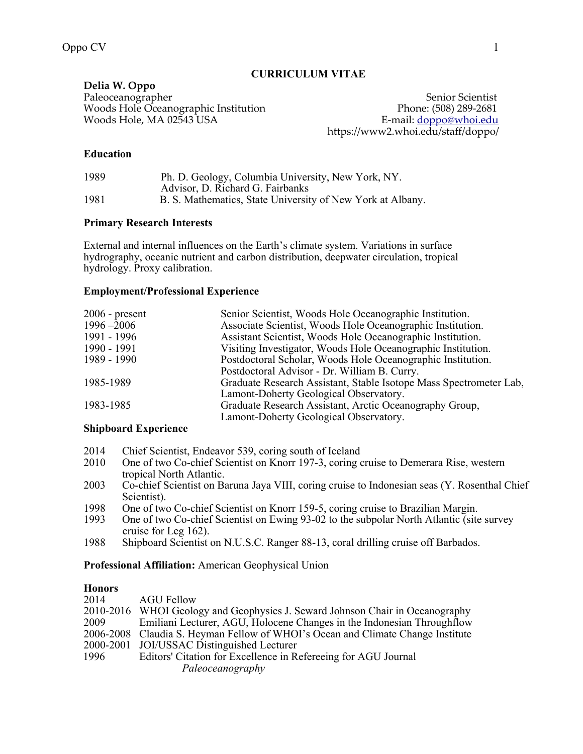# **CURRICULUM VITAE**

**Delia W. Oppo**  Paleoceanographer Senior Scientist Senior Scientist Woods Hole Oceanographic Institution Phone: (508) 289-2681<br>Woods Hole, MA 02543 USA B-mail: <u>doppo@whoi.edu</u> Woods Hole, MA 02543 USA

https://www2.whoi.edu/staff/doppo/

# **Education**

| 1989 | Ph. D. Geology, Columbia University, New York, NY.         |
|------|------------------------------------------------------------|
|      | Advisor, D. Richard G. Fairbanks                           |
| 1981 | B. S. Mathematics, State University of New York at Albany. |

## **Primary Research Interests**

External and internal influences on the Earth's climate system. Variations in surface hydrography, oceanic nutrient and carbon distribution, deepwater circulation, tropical hydrology. Proxy calibration.

# **Employment/Professional Experience**

| $2006$ - present | Senior Scientist, Woods Hole Oceanographic Institution.            |
|------------------|--------------------------------------------------------------------|
| $1996 - 2006$    | Associate Scientist, Woods Hole Oceanographic Institution.         |
| 1991 - 1996      | Assistant Scientist, Woods Hole Oceanographic Institution.         |
| 1990 - 1991      | Visiting Investigator, Woods Hole Oceanographic Institution.       |
| 1989 - 1990      | Postdoctoral Scholar, Woods Hole Oceanographic Institution.        |
|                  | Postdoctoral Advisor - Dr. William B. Curry.                       |
| 1985-1989        | Graduate Research Assistant, Stable Isotope Mass Spectrometer Lab, |
|                  | Lamont-Doherty Geological Observatory.                             |
| 1983-1985        | Graduate Research Assistant, Arctic Oceanography Group,            |
|                  | Lamont-Doherty Geological Observatory.                             |
|                  |                                                                    |

## **Shipboard Experience**

- 2014 Chief Scientist, Endeavor 539, coring south of Iceland
- 2010 One of two Co-chief Scientist on Knorr 197-3, coring cruise to Demerara Rise, western tropical North Atlantic.
- 2003 Co-chief Scientist on Baruna Jaya VIII, coring cruise to Indonesian seas (Y. Rosenthal Chief Scientist).
- 1998 One of two Co-chief Scientist on Knorr 159-5, coring cruise to Brazilian Margin.<br>1993 One of two Co-chief Scientist on Ewing 93-02 to the subpolar North Atlantic (site
- One of two Co-chief Scientist on Ewing 93-02 to the subpolar North Atlantic (site survey cruise for Leg 162).
- 1988 Shipboard Scientist on N.U.S.C. Ranger 88-13, coral drilling cruise off Barbados.

# **Professional Affiliation:** American Geophysical Union

### **Honors**

| 2014 | <b>AGU Fellow</b>                                                               |
|------|---------------------------------------------------------------------------------|
|      | 2010-2016 WHOI Geology and Geophysics J. Seward Johnson Chair in Oceanography   |
| 2009 | Emiliani Lecturer, AGU, Holocene Changes in the Indonesian Throughflow          |
|      | 2006-2008 Claudia S. Heyman Fellow of WHOI's Ocean and Climate Change Institute |
|      | 2000-2001 JOI/USSAC Distinguished Lecturer                                      |
| 1996 | Editors' Citation for Excellence in Referening for AGU Journal                  |
|      | Paleoceanography                                                                |
|      |                                                                                 |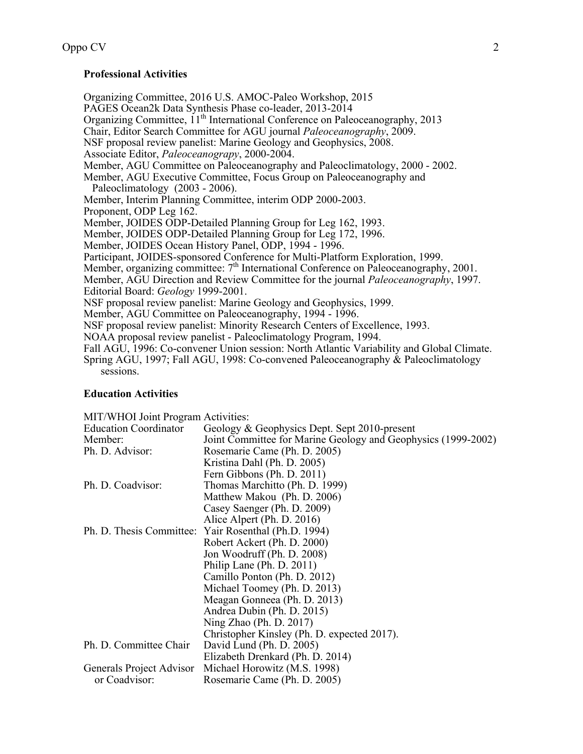### **Professional Activities**

Organizing Committee, 2016 U.S. AMOC-Paleo Workshop, 2015 PAGES Ocean2k Data Synthesis Phase co-leader, 2013-2014 Organizing Committee, 11<sup>th</sup> International Conference on Paleoceanography, 2013 Chair, Editor Search Committee for AGU journal *Paleoceanography*, 2009. NSF proposal review panelist: Marine Geology and Geophysics, 2008. Associate Editor, *Paleoceanograpy*, 2000-2004. Member, AGU Committee on Paleoceanography and Paleoclimatology, 2000 - 2002. Member, AGU Executive Committee, Focus Group on Paleoceanography and Paleoclimatology (2003 - 2006). Member, Interim Planning Committee, interim ODP 2000-2003. Proponent, ODP Leg 162. Member, JOIDES ODP-Detailed Planning Group for Leg 162, 1993. Member, JOIDES ODP-Detailed Planning Group for Leg 172, 1996. Member, JOIDES Ocean History Panel, ODP, 1994 - 1996. Participant, JOIDES-sponsored Conference for Multi-Platform Exploration, 1999. Member, organizing committee: 7<sup>th</sup> International Conference on Paleoceanography, 2001. Member, AGU Direction and Review Committee for the journal *Paleoceanography*, 1997. Editorial Board: *Geology* 1999-2001. NSF proposal review panelist: Marine Geology and Geophysics, 1999. Member, AGU Committee on Paleoceanography, 1994 - 1996. NSF proposal review panelist: Minority Research Centers of Excellence, 1993. NOAA proposal review panelist - Paleoclimatology Program, 1994. Fall AGU, 1996: Co-convener Union session: North Atlantic Variability and Global Climate. Spring AGU, 1997; Fall AGU, 1998: Co-convened Paleoceanography & Paleoclimatology sessions.

#### **Education Activities**

MIT/WHOI Joint Program Activities:

| Geology & Geophysics Dept. Sept 2010-present                  |
|---------------------------------------------------------------|
| Joint Committee for Marine Geology and Geophysics (1999-2002) |
| Rosemarie Came (Ph. D. 2005)                                  |
| Kristina Dahl (Ph. D. 2005)                                   |
| Fern Gibbons (Ph. D. 2011)                                    |
| Thomas Marchitto (Ph. D. 1999)                                |
| Matthew Makou (Ph. D. 2006)                                   |
| Casey Saenger (Ph. D. 2009)                                   |
| Alice Alpert (Ph. D. 2016)                                    |
| Yair Rosenthal (Ph.D. 1994)<br>Ph. D. Thesis Committee:       |
| Robert Ackert (Ph. D. 2000)                                   |
| Jon Woodruff (Ph. D. 2008)                                    |
| Philip Lane (Ph. D. 2011)                                     |
| Camillo Ponton (Ph. D. 2012)                                  |
| Michael Toomey (Ph. D. 2013)                                  |
| Meagan Gonneea (Ph. D. 2013)                                  |
| Andrea Dubin (Ph. D. 2015)                                    |
| Ning Zhao (Ph. D. 2017)                                       |
| Christopher Kinsley (Ph. D. expected 2017).                   |
| David Lund (Ph. D. 2005)                                      |
| Elizabeth Drenkard (Ph. D. 2014)                              |
| Michael Horowitz (M.S. 1998)                                  |
| Rosemarie Came (Ph. D. 2005)                                  |
|                                                               |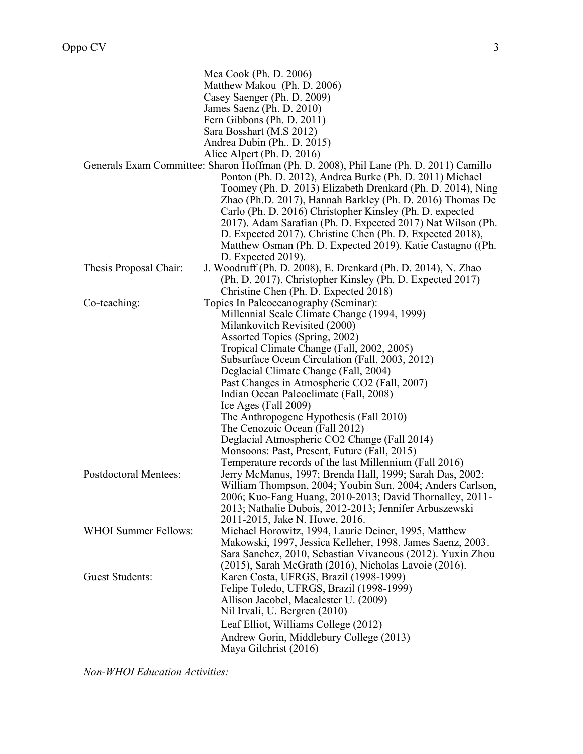|                              | Mea Cook (Ph. D. 2006)                                                                 |
|------------------------------|----------------------------------------------------------------------------------------|
|                              | Matthew Makou (Ph. D. 2006)                                                            |
|                              | Casey Saenger (Ph. D. 2009)                                                            |
|                              | James Saenz (Ph. D. 2010)                                                              |
|                              | Fern Gibbons (Ph. D. 2011)                                                             |
|                              | Sara Bosshart (M.S 2012)                                                               |
|                              | Andrea Dubin (Ph., D. 2015)                                                            |
|                              | Alice Alpert (Ph. D. 2016)                                                             |
|                              | Generals Exam Committee: Sharon Hoffman (Ph. D. 2008), Phil Lane (Ph. D. 2011) Camillo |
|                              | Ponton (Ph. D. 2012), Andrea Burke (Ph. D. 2011) Michael                               |
|                              | Toomey (Ph. D. 2013) Elizabeth Drenkard (Ph. D. 2014), Ning                            |
|                              | Zhao (Ph.D. 2017), Hannah Barkley (Ph. D. 2016) Thomas De                              |
|                              | Carlo (Ph. D. 2016) Christopher Kinsley (Ph. D. expected                               |
|                              | 2017). Adam Sarafian (Ph. D. Expected 2017) Nat Wilson (Ph.                            |
|                              | D. Expected 2017). Christine Chen (Ph. D. Expected 2018),                              |
|                              | Matthew Osman (Ph. D. Expected 2019). Katie Castagno ((Ph.                             |
|                              | D. Expected 2019).                                                                     |
| Thesis Proposal Chair:       | J. Woodruff (Ph. D. 2008), E. Drenkard (Ph. D. 2014), N. Zhao                          |
|                              | (Ph. D. 2017). Christopher Kinsley (Ph. D. Expected 2017)                              |
|                              | Christine Chen (Ph. D. Expected 2018)                                                  |
| Co-teaching:                 | Topics In Paleoceanography (Seminar):                                                  |
|                              | Millennial Scale Climate Change (1994, 1999)                                           |
|                              | Milankovitch Revisited (2000)                                                          |
|                              | Assorted Topics (Spring, 2002)                                                         |
|                              | Tropical Climate Change (Fall, 2002, 2005)                                             |
|                              | Subsurface Ocean Circulation (Fall, 2003, 2012)                                        |
|                              | Deglacial Climate Change (Fall, 2004)                                                  |
|                              | Past Changes in Atmospheric CO2 (Fall, 2007)                                           |
|                              | Indian Ocean Paleoclimate (Fall, 2008)                                                 |
|                              | Ice Ages (Fall $2009$ )                                                                |
|                              | The Anthropogene Hypothesis (Fall 2010)                                                |
|                              | The Cenozoic Ocean (Fall 2012)                                                         |
|                              | Deglacial Atmospheric CO2 Change (Fall 2014)                                           |
|                              | Monsoons: Past, Present, Future (Fall, 2015)                                           |
|                              | Temperature records of the last Millennium (Fall 2016)                                 |
| <b>Postdoctoral Mentees:</b> | Jerry McManus, 1997; Brenda Hall, 1999; Sarah Das, 2002;                               |
|                              | William Thompson, 2004; Youbin Sun, 2004; Anders Carlson,                              |
|                              | 2006; Kuo-Fang Huang, 2010-2013; David Thornalley, 2011-                               |
|                              | 2013; Nathalie Dubois, 2012-2013; Jennifer Arbuszewski                                 |
|                              | 2011-2015, Jake N. Howe, 2016.                                                         |
| <b>WHOI Summer Fellows:</b>  | Michael Horowitz, 1994, Laurie Deiner, 1995, Matthew                                   |
|                              | Makowski, 1997, Jessica Kelleher, 1998, James Saenz, 2003.                             |
|                              | Sara Sanchez, 2010, Sebastian Vivancous (2012). Yuxin Zhou                             |
|                              | (2015), Sarah McGrath (2016), Nicholas Lavoie (2016).                                  |
| <b>Guest Students:</b>       | Karen Costa, UFRGS, Brazil (1998-1999)                                                 |
|                              | Felipe Toledo, UFRGS, Brazil (1998-1999)                                               |
|                              | Allison Jacobel, Macalester U. (2009)                                                  |
|                              | Nil Irvali, U. Bergren (2010)                                                          |
|                              | Leaf Elliot, Williams College (2012)                                                   |
|                              | Andrew Gorin, Middlebury College (2013)                                                |
|                              | Maya Gilchrist (2016)                                                                  |
|                              |                                                                                        |

*Non-WHOI Education Activities:*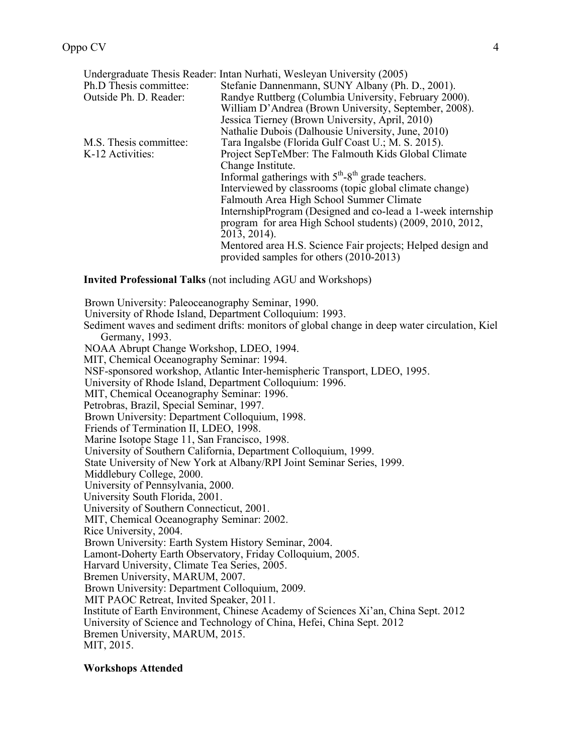|                        | Undergraduate Thesis Reader: Intan Nurhati, Wesleyan University (2005)    |
|------------------------|---------------------------------------------------------------------------|
| Ph.D Thesis committee: | Stefanie Dannenmann, SUNY Albany (Ph. D., 2001).                          |
| Outside Ph. D. Reader: | Randye Ruttberg (Columbia University, February 2000).                     |
|                        | William D'Andrea (Brown University, September, 2008).                     |
|                        | Jessica Tierney (Brown University, April, 2010)                           |
|                        | Nathalie Dubois (Dalhousie University, June, 2010)                        |
| M.S. Thesis committee: | Tara Ingalsbe (Florida Gulf Coast U.; M. S. 2015).                        |
| K-12 Activities:       | Project SepTeMber: The Falmouth Kids Global Climate                       |
|                        | Change Institute.                                                         |
|                        | Informal gatherings with 5 <sup>th</sup> -8 <sup>th</sup> grade teachers. |
|                        | Interviewed by classrooms (topic global climate change)                   |
|                        | Falmouth Area High School Summer Climate                                  |
|                        | InternshipProgram (Designed and co-lead a 1-week internship               |
|                        | program for area High School students) (2009, 2010, 2012,                 |
|                        | 2013, 2014).                                                              |
|                        | Mentored area H.S. Science Fair projects; Helped design and               |
|                        | provided samples for others (2010-2013)                                   |

**Invited Professional Talks** (not including AGU and Workshops)

Brown University: Paleoceanography Seminar, 1990. University of Rhode Island, Department Colloquium: 1993. Sediment waves and sediment drifts: monitors of global change in deep water circulation, Kiel Germany, 1993. NOAA Abrupt Change Workshop, LDEO, 1994. MIT, Chemical Oceanography Seminar: 1994. NSF-sponsored workshop, Atlantic Inter-hemispheric Transport, LDEO, 1995. University of Rhode Island, Department Colloquium: 1996. MIT, Chemical Oceanography Seminar: 1996. Petrobras, Brazil, Special Seminar, 1997. Brown University: Department Colloquium, 1998. Friends of Termination II, LDEO, 1998. Marine Isotope Stage 11, San Francisco, 1998. University of Southern California, Department Colloquium, 1999. State University of New York at Albany/RPI Joint Seminar Series, 1999. Middlebury College, 2000. University of Pennsylvania, 2000. University South Florida, 2001. University of Southern Connecticut, 2001. MIT, Chemical Oceanography Seminar: 2002. Rice University, 2004. Brown University: Earth System History Seminar, 2004. Lamont-Doherty Earth Observatory, Friday Colloquium, 2005. Harvard University, Climate Tea Series, 2005. Bremen University, MARUM, 2007. Brown University: Department Colloquium, 2009. MIT PAOC Retreat, Invited Speaker, 2011. Institute of Earth Environment, Chinese Academy of Sciences Xi'an, China Sept. 2012 University of Science and Technology of China, Hefei, China Sept. 2012 Bremen University, MARUM, 2015. MIT, 2015.

#### **Workshops Attended**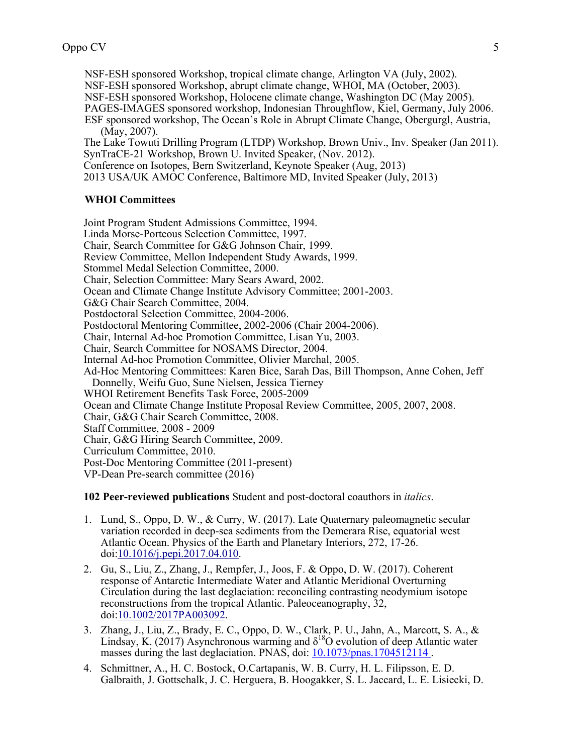NSF-ESH sponsored Workshop, tropical climate change, Arlington VA (July, 2002). NSF-ESH sponsored Workshop, abrupt climate change, WHOI, MA (October, 2003). NSF-ESH sponsored Workshop, Holocene climate change, Washington DC (May 2005). PAGES-IMAGES sponsored workshop, Indonesian Throughflow, Kiel, Germany, July 2006.

ESF sponsored workshop, The Ocean's Role in Abrupt Climate Change, Obergurgl, Austria, (May, 2007).

The Lake Towuti Drilling Program (LTDP) Workshop, Brown Univ., Inv. Speaker (Jan 2011). SynTraCE-21 Workshop, Brown U. Invited Speaker, (Nov. 2012).

Conference on Isotopes, Bern Switzerland, Keynote Speaker (Aug, 2013)

2013 USA/UK AMOC Conference, Baltimore MD, Invited Speaker (July, 2013)

#### **WHOI Committees**

Joint Program Student Admissions Committee, 1994. Linda Morse-Porteous Selection Committee, 1997. Chair, Search Committee for G&G Johnson Chair, 1999. Review Committee, Mellon Independent Study Awards, 1999. Stommel Medal Selection Committee, 2000. Chair, Selection Committee: Mary Sears Award, 2002. Ocean and Climate Change Institute Advisory Committee; 2001-2003. G&G Chair Search Committee, 2004. Postdoctoral Selection Committee, 2004-2006. Postdoctoral Mentoring Committee, 2002-2006 (Chair 2004-2006). Chair, Internal Ad-hoc Promotion Committee, Lisan Yu, 2003. Chair, Search Committee for NOSAMS Director, 2004. Internal Ad-hoc Promotion Committee, Olivier Marchal, 2005. Ad-Hoc Mentoring Committees: Karen Bice, Sarah Das, Bill Thompson, Anne Cohen, Jeff Donnelly, Weifu Guo, Sune Nielsen, Jessica Tierney WHOI Retirement Benefits Task Force, 2005-2009 Ocean and Climate Change Institute Proposal Review Committee, 2005, 2007, 2008. Chair, G&G Chair Search Committee, 2008. Staff Committee, 2008 - 2009 Chair, G&G Hiring Search Committee, 2009. Curriculum Committee, 2010. Post-Doc Mentoring Committee (2011-present) VP-Dean Pre-search committee (2016)

**102 Peer-reviewed publications** Student and post-doctoral coauthors in *italics*.

- 1. Lund, S., Oppo, D. W., & Curry, W. (2017). Late Quaternary paleomagnetic secular variation recorded in deep-sea sediments from the Demerara Rise, equatorial west Atlantic Ocean. Physics of the Earth and Planetary Interiors, 272, 17-26. doi:10.1016/j.pepi.2017.04.010.
- 2. Gu, S., Liu, Z., Zhang, J., Rempfer, J., Joos, F. & Oppo, D. W. (2017). Coherent response of Antarctic Intermediate Water and Atlantic Meridional Overturning Circulation during the last deglaciation: reconciling contrasting neodymium isotope reconstructions from the tropical Atlantic. Paleoceanography, 32, doi:10.1002/2017PA003092.
- 3. Zhang, J., Liu, Z., Brady, E. C., Oppo, D. W., Clark, P. U., Jahn, A., Marcott, S. A., & Lindsay, K. (2017) Asynchronous warming and  $\delta^{18}$ O evolution of deep Atlantic water masses during the last deglaciation. PNAS, doi: 10.1073/pnas.1704512114 .
- 4. Schmittner, A., H. C. Bostock, O.Cartapanis, W. B. Curry, H. L. Filipsson, E. D. Galbraith, J. Gottschalk, J. C. Herguera, B. Hoogakker, S. L. Jaccard, L. E. Lisiecki, D.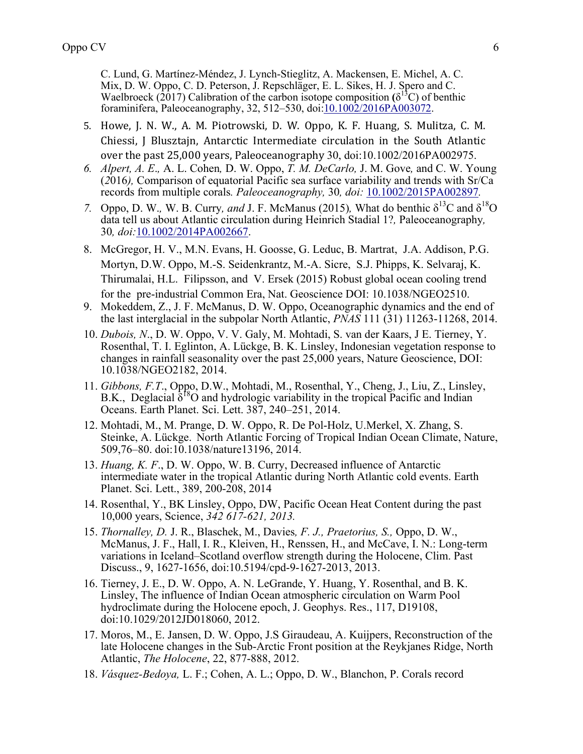C. Lund, G. Martínez-Méndez, J. Lynch-Stieglitz, A. Mackensen, E. Michel, A. C. Mix, D. W. Oppo, C. D. Peterson, J. Repschläger, E. L. Sikes, H. J. Spero and C. Waelbroeck  $(2017)$  Calibration of the carbon isotope composition  $(\delta^{13}C)$  of benthic foraminifera, Paleoceanography, 32, 512–530, doi:10.1002/2016PA003072.

- 5. Howe, J. N. W., A. M. Piotrowski, D. W. Oppo, K. F. Huang, S. Mulitza, C. M. Chiessi, J Blusztajn, Antarctic Intermediate circulation in the South Atlantic over the past 25,000 years, Paleoceanography 30, doi:10.1002/2016PA002975.
- *6. Alpert, A. E*.*,* A. L. Cohen*,* D. W. Oppo, *T. M. DeCarlo,* J. M. Gove*,* and C. W. Young (*2*016*),* Comparison of equatorial Pacific sea surface variability and trends with Sr/Ca records from multiple corals*. Paleoceanography,* 30*, doi:* 10.1002/2015PA002897*.*
- *7.* Oppo, D. W., W. B. Curry, and J. F. McManus (2015), What do benthic  $\delta^{13}$ C and  $\delta^{18}$ O data tell us about Atlantic circulation during Heinrich Stadial 1?*,* Paleoceanography*,*  30*, doi:*10.1002/2014PA002667.
- 8. McGregor, H. V., M.N. Evans, H. Goosse, G. Leduc, B. Martrat, J.A. Addison, P.G. Mortyn, D.W. Oppo, M.-S. Seidenkrantz, M.-A. Sicre, S.J. Phipps, K. Selvaraj, K. Thirumalai, H.L. Filipsson, and V. Ersek (2015) Robust global ocean cooling trend for the pre-industrial Common Era, Nat. Geoscience DOI: 10.1038/NGEO2510.
- 9. Mokeddem, Z., J. F. McManus, D. W. Oppo, Oceanographic dynamics and the end of the last interglacial in the subpolar North Atlantic, *PNAS* 111 (31) 11263-11268, 2014.
- 10. *Dubois, N*., D. W. Oppo, V. V. Galy, M. Mohtadi, S. van der Kaars, J E. Tierney, Y. Rosenthal, T. I. Eglinton, A. Lückge, B. K. Linsley, Indonesian vegetation response to changes in rainfall seasonality over the past 25,000 years, Nature Geoscience, DOI: 10.1038/NGEO2182, 2014.
- 11. *Gibbons, F.T*., Oppo, D.W., Mohtadi, M., Rosenthal, Y., Cheng, J., Liu, Z., Linsley, B.K., Deglacial  $\delta^{18}$ O and hydrologic variability in the tropical Pacific and Indian Oceans. Earth Planet. Sci. Lett. 387, 240–251, 2014.
- 12. Mohtadi, M., M. Prange, D. W. Oppo, R. De Pol-Holz, U.Merkel, X. Zhang, S. Steinke, A. Lückge. North Atlantic Forcing of Tropical Indian Ocean Climate, Nature, 509,76–80. doi:10.1038/nature13196, 2014.
- 13. *Huang, K. F*., D. W. Oppo, W. B. Curry, Decreased influence of Antarctic intermediate water in the tropical Atlantic during North Atlantic cold events. Earth Planet. Sci. Lett., 389, 200-208, 2014
- 14. Rosenthal, Y., BK Linsley, Oppo, DW, Pacific Ocean Heat Content during the past 10,000 years, Science, *342 617-621, 2013.*
- 15. *Thornalley, D.* J. R., Blaschek, M., Davies*, F. J., Praetorius, S.,* Oppo, D. W., McManus, J. F., Hall, I. R., Kleiven, H., Renssen, H., and McCave, I. N.: Long-term variations in Iceland–Scotland overflow strength during the Holocene, Clim. Past Discuss., 9, 1627-1656, doi:10.5194/cpd-9-1627-2013, 2013.
- 16. Tierney, J. E., D. W. Oppo, A. N. LeGrande, Y. Huang, Y. Rosenthal, and B. K. Linsley, The influence of Indian Ocean atmospheric circulation on Warm Pool hydroclimate during the Holocene epoch, J. Geophys. Res., 117, D19108, doi:10.1029/2012JD018060, 2012.
- 17. Moros, M., E. Jansen, D. W. Oppo, J.S Giraudeau, A. Kuijpers, Reconstruction of the late Holocene changes in the Sub-Arctic Front position at the Reykjanes Ridge, North Atlantic, *The Holocene*, 22, 877-888, 2012.
- 18. *Vásquez-Bedoya,* L. F.; Cohen, A. L.; Oppo, D. W., Blanchon, P. Corals record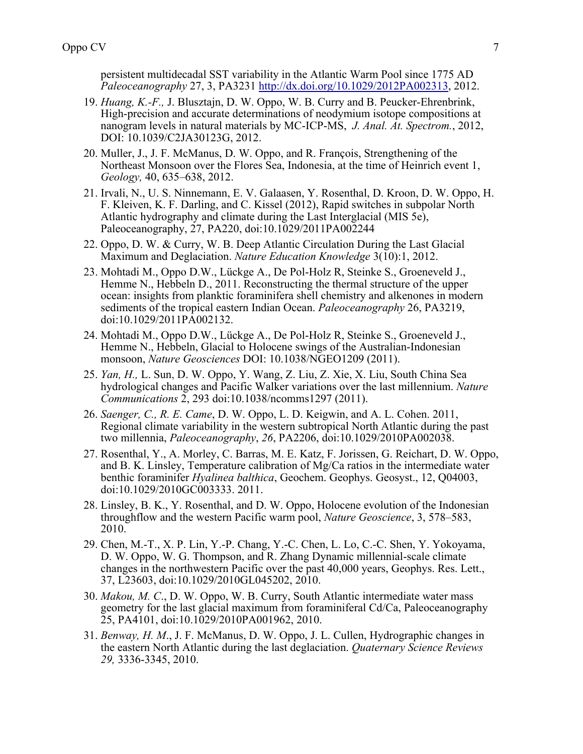persistent multidecadal SST variability in the Atlantic Warm Pool since 1775 AD *Paleoceanography* 27, 3, PA3231 http://dx.doi.org/10.1029/2012PA002313, 2012.

- 19. *Huang, K.-F.,* J. Blusztajn, D. W. Oppo, W. B. Curry and B. Peucker-Ehrenbrink, High-precision and accurate determinations of neodymium isotope compositions at nanogram levels in natural materials by MC-ICP-MS, *J. Anal. At. Spectrom.*, 2012, DOI: 10.1039/C2JA30123G, 2012.
- 20. Muller, J., J. F. McManus, D. W. Oppo, and R. François, Strengthening of the Northeast Monsoon over the Flores Sea, Indonesia, at the time of Heinrich event 1, *Geology,* 40, 635–638, 2012.
- 21. Irvali, N., U. S. Ninnemann, E. V. Galaasen, Y. Rosenthal, D. Kroon, D. W. Oppo, H. F. Kleiven, K. F. Darling, and C. Kissel (2012), Rapid switches in subpolar North Atlantic hydrography and climate during the Last Interglacial (MIS 5e), Paleoceanography, 27, PA220, doi:10.1029/2011PA002244
- 22. Oppo, D. W. & Curry, W. B. Deep Atlantic Circulation During the Last Glacial Maximum and Deglaciation. *Nature Education Knowledge* 3(10):1, 2012.
- 23. Mohtadi M., Oppo D.W., Lückge A., De Pol-Holz R, Steinke S., Groeneveld J., Hemme N., Hebbeln D., 2011. Reconstructing the thermal structure of the upper ocean: insights from planktic foraminifera shell chemistry and alkenones in modern sediments of the tropical eastern Indian Ocean. *Paleoceanography* 26, PA3219, doi:10.1029/2011PA002132.
- 24. Mohtadi M., Oppo D.W., Lückge A., De Pol-Holz R, Steinke S., Groeneveld J., Hemme N., Hebbeln, Glacial to Holocene swings of the Australian-Indonesian monsoon, *Nature Geosciences* DOI: 10.1038/NGEO1209 (2011).
- 25. *Yan, H.,* L. Sun, D. W. Oppo, Y. Wang, Z. Liu, Z. Xie, X. Liu, South China Sea hydrological changes and Pacific Walker variations over the last millennium. *Nature Communications* 2, 293 doi:10.1038/ncomms1297 (2011).
- 26. *Saenger, C., R. E. Came*, D. W. Oppo, L. D. Keigwin, and A. L. Cohen. 2011, Regional climate variability in the western subtropical North Atlantic during the past two millennia, *Paleoceanography*, *26*, PA2206, doi:10.1029/2010PA002038.
- 27. Rosenthal, Y., A. Morley, C. Barras, M. E. Katz, F. Jorissen, G. Reichart, D. W. Oppo, and B. K. Linsley, Temperature calibration of Mg/Ca ratios in the intermediate water benthic foraminifer *Hyalinea balthica*, Geochem. Geophys. Geosyst., 12, Q04003, doi:10.1029/2010GC003333. 2011.
- 28. Linsley, B. K., Y. Rosenthal, and D. W. Oppo, Holocene evolution of the Indonesian throughflow and the western Pacific warm pool, *Nature Geoscience*, 3, 578–583, 2010.
- 29. Chen, M.-T., X. P. Lin, Y.-P. Chang, Y.-C. Chen, L. Lo, C.-C. Shen, Y. Yokoyama, D. W. Oppo, W. G. Thompson, and R. Zhang Dynamic millennial-scale climate changes in the northwestern Pacific over the past 40,000 years, Geophys. Res. Lett., 37, L23603, doi:10.1029/2010GL045202, 2010.
- 30. *Makou, M. C*., D. W. Oppo, W. B. Curry, South Atlantic intermediate water mass geometry for the last glacial maximum from foraminiferal Cd/Ca, Paleoceanography 25, PA4101, doi:10.1029/2010PA001962, 2010.
- 31. *Benway, H. M*., J. F. McManus, D. W. Oppo, J. L. Cullen, Hydrographic changes in the eastern North Atlantic during the last deglaciation. *Quaternary Science Reviews 29,* 3336-3345, 2010.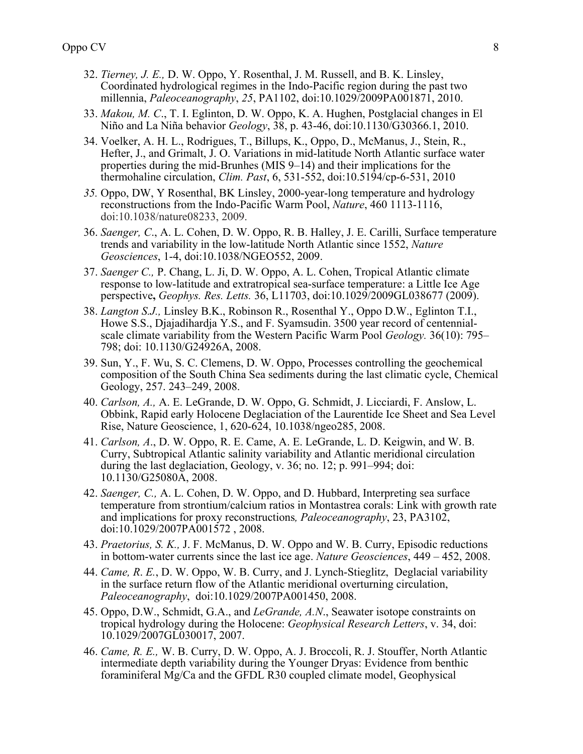- 32. *Tierney, J. E.,* D. W. Oppo, Y. Rosenthal, J. M. Russell, and B. K. Linsley, Coordinated hydrological regimes in the Indo-Pacific region during the past two millennia, *Paleoceanography*, *25*, PA1102, doi:10.1029/2009PA001871, 2010.
- 33. *Makou, M. C*., T. I. Eglinton, D. W. Oppo, K. A. Hughen, Postglacial changes in El Niño and La Niña behavior *Geology*, 38, p. 43-46, doi:10.1130/G30366.1, 2010.
- 34. Voelker, A. H. L., Rodrigues, T., Billups, K., Oppo, D., McManus, J., Stein, R., Hefter, J., and Grimalt, J. O. Variations in mid-latitude North Atlantic surface water properties during the mid-Brunhes (MIS 9–14) and their implications for the thermohaline circulation, *Clim. Past*, 6, 531-552, doi:10.5194/cp-6-531, 2010h
- *35.* Oppo, DW, Y Rosenthal, BK Linsley, 2000-year-long temperature and hydrology reconstructions from the Indo-Pacific Warm Pool, *Nature*, 460 1113-1116, doi:10.1038/nature08233, 2009.
- 36. *Saenger, C*., A. L. Cohen, D. W. Oppo, R. B. Halley, J. E. Carilli, Surface temperature trends and variability in the low-latitude North Atlantic since 1552, *Nature Geosciences*, 1-4, doi:10.1038/NGEO552, 2009.
- 37. *Saenger C.,* P. Chang, L. Ji, D. W. Oppo, A. L. Cohen, Tropical Atlantic climate response to low-latitude and extratropical sea-surface temperature: a Little Ice Age perspective**,** *Geophys. Res. Letts.* 36, L11703, doi:10.1029/2009GL038677 (2009).
- 38. *Langton S.J.,* Linsley B.K., Robinson R., Rosenthal Y., Oppo D.W., Eglinton T.I., Howe S.S., Djajadihardja Y.S., and F. Syamsudin. 3500 year record of centennialscale climate variability from the Western Pacific Warm Pool *Geology.* 36(10): 795– 798; doi: 10.1130/G24926A, 2008.
- 39. Sun, Y., F. Wu, S. C. Clemens, D. W. Oppo, Processes controlling the geochemical composition of the South China Sea sediments during the last climatic cycle, Chemical Geology, 257. 243–249, 2008.
- 40. *Carlson, A.,* A. E. LeGrande, D. W. Oppo, G. Schmidt, J. Licciardi, F. Anslow, L. Obbink, Rapid early Holocene Deglaciation of the Laurentide Ice Sheet and Sea Level Rise, Nature Geoscience, 1, 620-624, 10.1038/ngeo285, 2008.
- 41. *Carlson, A*., D. W. Oppo, R. E. Came, A. E. LeGrande, L. D. Keigwin, and W. B. Curry, Subtropical Atlantic salinity variability and Atlantic meridional circulation during the last deglaciation, Geology, v. 36; no. 12; p. 991–994; doi: 10.1130/G25080A, 2008.
- 42. *Saenger, C.,* A. L. Cohen, D. W. Oppo, and D. Hubbard, Interpreting sea surface temperature from strontium/calcium ratios in Montastrea corals: Link with growth rate and implications for proxy reconstructions*, Paleoceanography*, 23, PA3102, doi:10.1029/2007PA001572 , 2008.
- 43. *Praetorius, S. K.,* J. F. McManus, D. W. Oppo and W. B. Curry, Episodic reductions in bottom-water currents since the last ice age. *Nature Geosciences*, 449 – 452, 2008.
- 44. *Came, R*. *E.*, D. W. Oppo, W. B. Curry, and J. Lynch-Stieglitz, Deglacial variability in the surface return flow of the Atlantic meridional overturning circulation, *Paleoceanography*, doi:10.1029/2007PA001450, 2008.
- 45. Oppo, D.W., Schmidt, G.A., and *LeGrande, A.N*., Seawater isotope constraints on tropical hydrology during the Holocene: *Geophysical Research Letters*, v. 34, doi: 10.1029/2007GL030017, 2007.
- 46. *Came, R. E.,* W. B. Curry, D. W. Oppo, A. J. Broccoli, R. J. Stouffer, North Atlantic intermediate depth variability during the Younger Dryas: Evidence from benthic foraminiferal Mg/Ca and the GFDL R30 coupled climate model, Geophysical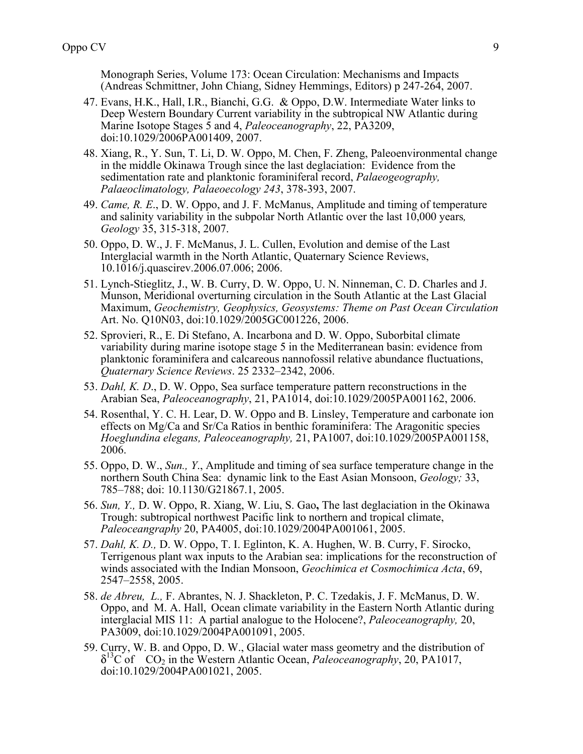Monograph Series, Volume 173: Ocean Circulation: Mechanisms and Impacts (Andreas Schmittner, John Chiang, Sidney Hemmings, Editors) p 247-264, 2007.

- 47. Evans, H.K., Hall, I.R., Bianchi, G.G. & Oppo, D.W. Intermediate Water links to Deep Western Boundary Current variability in the subtropical NW Atlantic during Marine Isotope Stages 5 and 4, *Paleoceanography*, 22, PA3209, doi:10.1029/2006PA001409, 2007.
- 48. Xiang, R., Y. Sun, T. Li, D. W. Oppo, M. Chen, F. Zheng, Paleoenvironmental change in the middle Okinawa Trough since the last deglaciation: Evidence from the sedimentation rate and planktonic foraminiferal record, *Palaeogeography, Palaeoclimatology, Palaeoecology 243*, 378-393, 2007.
- 49. *Came, R. E*., D. W. Oppo, and J. F. McManus, Amplitude and timing of temperature and salinity variability in the subpolar North Atlantic over the last 10,000 years*, Geology* 35, 315-318, 2007.
- 50. Oppo, D. W., J. F. McManus, J. L. Cullen, Evolution and demise of the Last Interglacial warmth in the North Atlantic, Quaternary Science Reviews, 10.1016/j.quascirev.2006.07.006; 2006.
- 51. Lynch-Stieglitz, J., W. B. Curry, D. W. Oppo, U. N. Ninneman, C. D. Charles and J. Munson, Meridional overturning circulation in the South Atlantic at the Last Glacial Maximum, *Geochemistry, Geophysics, Geosystems: Theme on Past Ocean Circulation* Art. No. Q10N03, doi:10.1029/2005GC001226, 2006.
- 52. Sprovieri, R., E. Di Stefano, A. Incarbona and D. W. Oppo, Suborbital climate variability during marine isotope stage 5 in the Mediterranean basin: evidence from planktonic foraminifera and calcareous nannofossil relative abundance fluctuations, *Quaternary Science Reviews*. 25 2332–2342, 2006.
- 53. *Dahl, K. D*., D. W. Oppo, Sea surface temperature pattern reconstructions in the Arabian Sea, *Paleoceanography*, 21, PA1014, doi:10.1029/2005PA001162, 2006.
- 54. Rosenthal, Y. C. H. Lear, D. W. Oppo and B. Linsley, Temperature and carbonate ion effects on Mg/Ca and Sr/Ca Ratios in benthic foraminifera: The Aragonitic species *Hoeglundina elegans, Paleoceanography,* 21, PA1007, doi:10.1029/2005PA001158, 2006.
- 55. Oppo, D. W., *Sun., Y*., Amplitude and timing of sea surface temperature change in the northern South China Sea: dynamic link to the East Asian Monsoon, *Geology;* 33, 785–788; doi: 10.1130/G21867.1, 2005.
- 56. *Sun, Y.,* D. W. Oppo, R. Xiang, W. Liu, S. Gao**,** The last deglaciation in the Okinawa Trough: subtropical northwest Pacific link to northern and tropical climate, *Paleoceangraphy* 20, PA4005, doi:10.1029/2004PA001061, 2005.
- 57. *Dahl, K. D.,* D. W. Oppo, T. I. Eglinton, K. A. Hughen, W. B. Curry, F. Sirocko, Terrigenous plant wax inputs to the Arabian sea: implications for the reconstruction of winds associated with the Indian Monsoon, *Geochimica et Cosmochimica Acta*, 69, 2547–2558, 2005.
- 58. *de Abreu, L.,* F. Abrantes, N. J. Shackleton, P. C. Tzedakis, J. F. McManus, D. W. Oppo, and M. A. Hall, Ocean climate variability in the Eastern North Atlantic during interglacial MIS 11: A partial analogue to the Holocene?, *Paleoceanography,* 20, PA3009, doi:10.1029/2004PA001091, 2005.
- 59. Curry, W. B. and Oppo, D. W., Glacial water mass geometry and the distribution of δ13C of CO2 in the Western Atlantic Ocean, *Paleoceanography*, 20, PA1017, doi:10.1029/2004PA001021, 2005.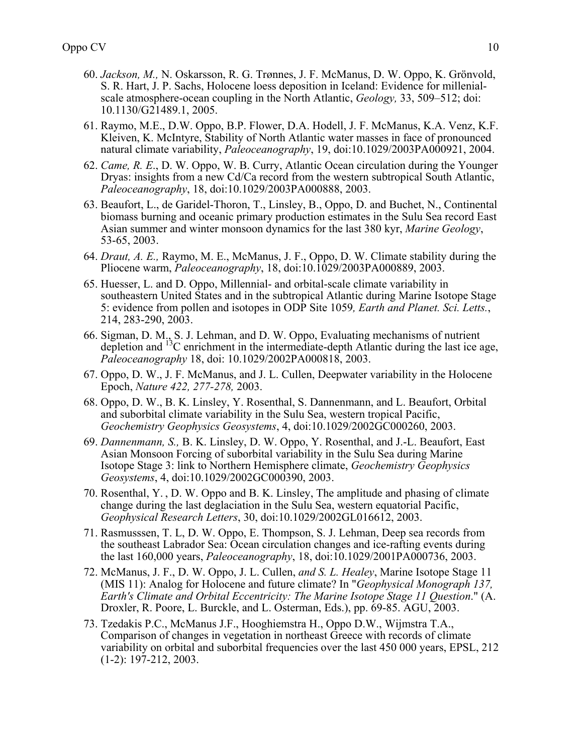- 60. *Jackson, M.,* N. Oskarsson, R. G. Trønnes, J. F. McManus, D. W. Oppo, K. Grönvold, S. R. Hart, J. P. Sachs, Holocene loess deposition in Iceland: Evidence for millenialscale atmosphere-ocean coupling in the North Atlantic, *Geology,* 33, 509–512; doi: 10.1130/G21489.1, 2005.
- 61. Raymo, M.E., D.W. Oppo, B.P. Flower, D.A. Hodell, J. F. McManus, K.A. Venz, K.F. Kleiven, K. McIntyre, Stability of North Atlantic water masses in face of pronounced natural climate variability, *Paleoceanography*, 19, doi:10.1029/2003PA000921, 2004.
- 62. *Came, R. E*., D. W. Oppo, W. B. Curry, Atlantic Ocean circulation during the Younger Dryas: insights from a new Cd/Ca record from the western subtropical South Atlantic, *Paleoceanography*, 18, doi:10.1029/2003PA000888, 2003.
- 63. Beaufort, L., de Garidel-Thoron, T., Linsley, B., Oppo, D. and Buchet, N., Continental biomass burning and oceanic primary production estimates in the Sulu Sea record East Asian summer and winter monsoon dynamics for the last 380 kyr, *Marine Geology*, 53-65, 2003.
- 64. *Draut, A. E.,* Raymo, M. E., McManus, J. F., Oppo, D. W. Climate stability during the Pliocene warm, *Paleoceanography*, 18, doi:10.1029/2003PA000889, 2003.
- 65. Huesser, L. and D. Oppo, Millennial- and orbital-scale climate variability in southeastern United States and in the subtropical Atlantic during Marine Isotope Stage 5: evidence from pollen and isotopes in ODP Site 1059*, Earth and Planet. Sci. Letts.*, 214, 283-290, 2003.
- 66. Sigman, D. M., S. J. Lehman, and D. W. Oppo, Evaluating mechanisms of nutrient depletion and  $^{13}$ C enrichment in the intermediate-depth Atlantic during the last ice age, *Paleoceanography* 18, doi: 10.1029/2002PA000818, 2003.
- 67. Oppo, D. W., J. F. McManus, and J. L. Cullen, Deepwater variability in the Holocene Epoch, *Nature 422, 277-278,* 2003.
- 68. Oppo, D. W., B. K. Linsley, Y. Rosenthal, S. Dannenmann, and L. Beaufort, Orbital and suborbital climate variability in the Sulu Sea, western tropical Pacific, *Geochemistry Geophysics Geosystems*, 4, doi:10.1029/2002GC000260, 2003.
- 69. *Dannenmann, S.,* B. K. Linsley, D. W. Oppo, Y. Rosenthal, and J.-L. Beaufort, East Asian Monsoon Forcing of suborbital variability in the Sulu Sea during Marine Isotope Stage 3: link to Northern Hemisphere climate, *Geochemistry Geophysics Geosystems*, 4, doi:10.1029/2002GC000390, 2003.
- 70. Rosenthal, Y. , D. W. Oppo and B. K. Linsley, The amplitude and phasing of climate change during the last deglaciation in the Sulu Sea, western equatorial Pacific, *Geophysical Research Letters*, 30, doi:10.1029/2002GL016612, 2003.
- 71. Rasmusssen, T. L, D. W. Oppo, E. Thompson, S. J. Lehman, Deep sea records from the southeast Labrador Sea: Ocean circulation changes and ice-rafting events during the last 160,000 years, *Paleoceanography*, 18, doi:10.1029/2001PA000736, 2003.
- 72. McManus, J. F., D. W. Oppo, J. L. Cullen, *and S. L. Healey*, Marine Isotope Stage 11 (MIS 11): Analog for Holocene and future climate? In "*Geophysical Monograph 137, Earth's Climate and Orbital Eccentricity: The Marine Isotope Stage 11 Question*." (A. Droxler, R. Poore, L. Burckle, and L. Osterman, Eds.), pp. 69-85. AGU, 2003.
- 73. Tzedakis P.C., McManus J.F., Hooghiemstra H., Oppo D.W., Wijmstra T.A., Comparison of changes in vegetation in northeast Greece with records of climate variability on orbital and suborbital frequencies over the last 450 000 years, EPSL, 212 (1-2): 197-212, 2003.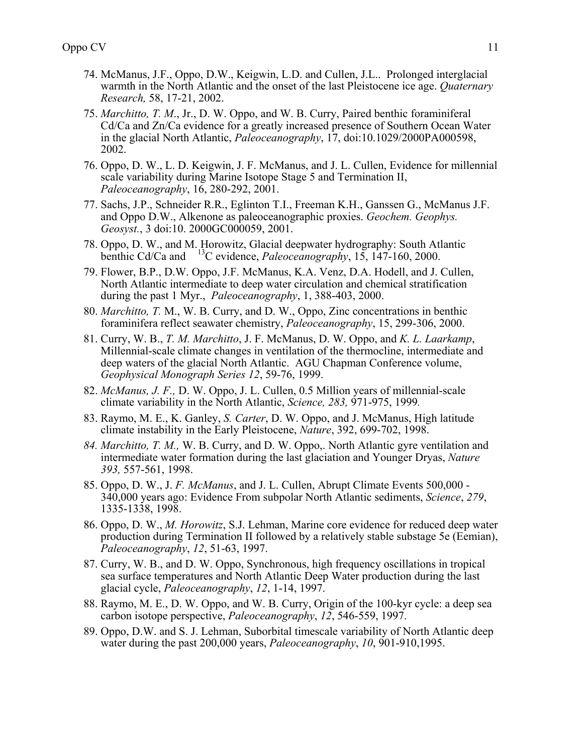- 74. McManus, J.F., Oppo, D.W., Keigwin, L.D. and Cullen, J.L.. Prolonged interglacial warmth in the North Atlantic and the onset of the last Pleistocene ice age. *Quaternary Research,* 58, 17-21, 2002.
- 75. *Marchitto, T. M*., Jr., D. W. Oppo, and W. B. Curry, Paired benthic foraminiferal Cd/Ca and Zn/Ca evidence for a greatly increased presence of Southern Ocean Water in the glacial North Atlantic, *Paleoceanography*, 17, doi:10.1029/2000PA000598, 2002.
- 76. Oppo, D. W., L. D. Keigwin, J. F. McManus, and J. L. Cullen, Evidence for millennial scale variability during Marine Isotope Stage 5 and Termination II, *Paleoceanography*, 16, 280-292, 2001.
- 77. Sachs, J.P., Schneider R.R., Eglinton T.I., Freeman K.H., Ganssen G., McManus J.F. and Oppo D.W., Alkenone as paleoceanographic proxies. *Geochem. Geophys. Geosyst.*, 3 doi:10. 2000GC000059, 2001.
- 78. Oppo, D. W., and M. Horowitz, Glacial deepwater hydrography: South Atlantic benthic Cd/Ca and <sup>13</sup>C evidence, *Paleoceanography*, 15, 147-160, 2000.
- 79. Flower, B.P., D.W. Oppo, J.F. McManus, K.A. Venz, D.A. Hodell, and J. Cullen, North Atlantic intermediate to deep water circulation and chemical stratification during the past 1 Myr., *Paleoceanography*, 1, 388-403, 2000.
- 80. *Marchitto, T.* M., W. B. Curry, and D. W., Oppo, Zinc concentrations in benthic foraminifera reflect seawater chemistry, *Paleoceanography*, 15, 299-306, 2000.
- 81. Curry, W. B., *T. M. Marchitto*, J. F. McManus, D. W. Oppo, and *K. L. Laarkamp*, Millennial-scale climate changes in ventilation of the thermocline, intermediate and deep waters of the glacial North Atlantic. AGU Chapman Conference volume, *Geophysical Monograph Series 12*, 59-76, 1999.
- 82. *McManus, J. F.,* D. W. Oppo, J. L. Cullen, 0.5 Million years of millennial-scale climate variability in the North Atlantic, *Science, 283,* 971-975, 1999*.*
- 83. Raymo, M. E., K. Ganley, *S. Carter*, D. W. Oppo, and J. McManus, High latitude climate instability in the Early Pleistocene, *Nature*, 392, 699-702, 1998.
- *84. Marchitto, T. M.,* W. B. Curry, and D. W. Oppo,. North Atlantic gyre ventilation and intermediate water formation during the last glaciation and Younger Dryas, *Nature 393,* 557-561, 1998.
- 85. Oppo, D. W., J. *F. McManus*, and J. L. Cullen, Abrupt Climate Events 500,000 340,000 years ago: Evidence From subpolar North Atlantic sediments, *Science*, *279*, 1335-1338, 1998.
- 86. Oppo, D. W., *M. Horowitz*, S.J. Lehman, Marine core evidence for reduced deep water production during Termination II followed by a relatively stable substage 5e (Eemian), *Paleoceanography*, *12*, 51-63, 1997.
- 87. Curry, W. B., and D. W. Oppo, Synchronous, high frequency oscillations in tropical sea surface temperatures and North Atlantic Deep Water production during the last glacial cycle, *Paleoceanography*, *12*, 1-14, 1997.
- 88. Raymo, M. E., D. W. Oppo, and W. B. Curry, Origin of the 100-kyr cycle: a deep sea carbon isotope perspective, *Paleoceanography*, *12*, 546-559, 1997.
- 89. Oppo, D.W. and S. J. Lehman, Suborbital timescale variability of North Atlantic deep water during the past 200,000 years, *Paleoceanography*, *10*, 901-910,1995.